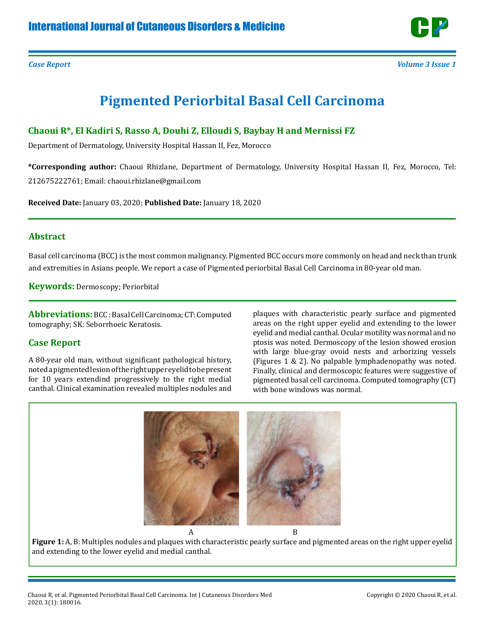

# **Pigmented Periorbital Basal Cell Carcinoma**

## **Chaoui R\*, El Kadiri S, Rasso A, Douhi Z, Elloudi S, Baybay H and Mernissi FZ**

Department of Dermatology, University Hospital Hassan II, Fez, Morocco

**\*Corresponding author:** Chaoui Rhizlane, Department of Dermatology, University Hospital Hassan II, Fez, Morocco, Tel: 212675222761; Email: chaoui.rhizlane@gmail.com

**Received Date:** January 03, 2020; **Published Date:** January 18, 2020

#### **Abstract**

Basal cell carcinoma (BCC) is the most common malignancy. Pigmented BCC occurs more commonly on head and neck than trunk and extremities in Asians people. We report a case of Pigmented periorbital Basal Cell Carcinoma in 80-year old man.

**Keywords:** Dermoscopy; Periorbital

**Abbreviations:**BCC : Basal Cell Carcinoma; CT: Computed tomography; SK: Seborrhoeic Keratosis.

## **Case Report**

A 80-year old man, without significant pathological history, noted a pigmented lesion of the right upper eyelid to be present for 10 years extendind progressively to the right medial canthal. Clinical examination revealed multiples nodules and

plaques with characteristic pearly surface and pigmented areas on the right upper eyelid and extending to the lower eyelid and medial canthal. Ocular motility was normal and no ptosis was noted. Dermoscopy of the lesion showed erosion with large blue-gray ovoid nests and arborizing vessels (Figures 1 & 2). No palpable lymphadenopathy was noted. Finally, clinical and dermoscopic features were suggestive of pigmented basal cell carcinoma. Computed tomography (CT) with bone windows was normal.



**Figure 1:** A, B: Multiples nodules and plaques with characteristic pearly surface and pigmented areas on the right upper eyelid and extending to the lower eyelid and medial canthal.